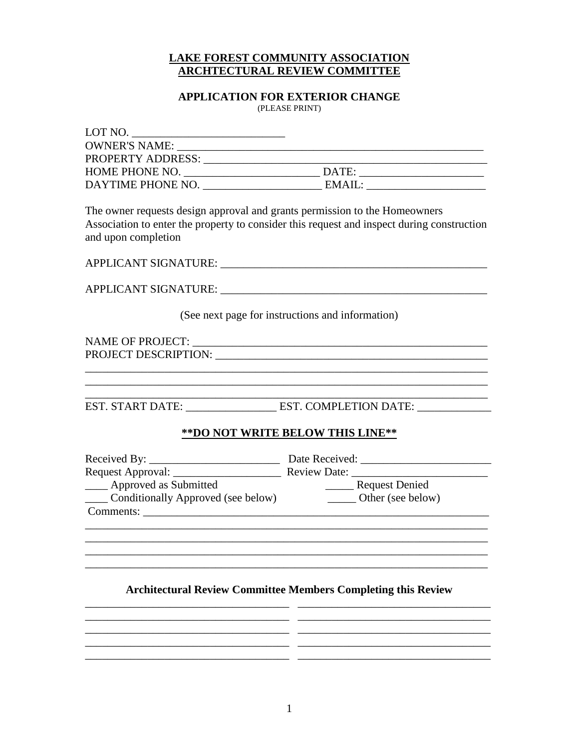## **LAKE FOREST COMMUNITY ASSOCIATION ARCHTECTURAL REVIEW COMMITTEE**

## **APPLICATION FOR EXTERIOR CHANGE** (PLEASE PRINT)

| <b>OWNER'S NAME:</b>                                                                                                                                                                                                                                                               |                                                                                            |  |                                   |
|------------------------------------------------------------------------------------------------------------------------------------------------------------------------------------------------------------------------------------------------------------------------------------|--------------------------------------------------------------------------------------------|--|-----------------------------------|
| PROPERTY ADDRESS: NAMEL AND THE RESERVE OF A SERIES AND THE RESERVE OF A SERIES OF A SERIES OF A SERIES OF A S                                                                                                                                                                     |                                                                                            |  |                                   |
|                                                                                                                                                                                                                                                                                    |                                                                                            |  |                                   |
|                                                                                                                                                                                                                                                                                    |                                                                                            |  |                                   |
| The owner requests design approval and grants permission to the Homeowners<br>and upon completion                                                                                                                                                                                  | Association to enter the property to consider this request and inspect during construction |  |                                   |
| (See next page for instructions and information)<br>PROJECT DESCRIPTION: LATER AND THE CONTROL CONTROL CONTROL CONTROL CONTROL CONTROL CONTROL CONTROL CONTROL CONTROL CONTROL CONTROL CONTROL CONTROL CONTROL CONTROL CONTROL CONTROL CONTROL CONTROL CONTROL CONTROL CONTROL CON |                                                                                            |  |                                   |
|                                                                                                                                                                                                                                                                                    |                                                                                            |  | ** DO NOT WRITE BELOW THIS LINE** |
|                                                                                                                                                                                                                                                                                    |                                                                                            |  |                                   |
|                                                                                                                                                                                                                                                                                    |                                                                                            |  |                                   |
|                                                                                                                                                                                                                                                                                    |                                                                                            |  |                                   |
| ____ Approved as Submitted<br>Conditionally Approved (see below)<br>Comments:                                                                                                                                                                                                      | _______ Request Denied<br>________ Other (see below)                                       |  |                                   |
|                                                                                                                                                                                                                                                                                    |                                                                                            |  |                                   |
|                                                                                                                                                                                                                                                                                    | <b>Architectural Review Committee Members Completing this Review</b>                       |  |                                   |
|                                                                                                                                                                                                                                                                                    |                                                                                            |  |                                   |
|                                                                                                                                                                                                                                                                                    |                                                                                            |  |                                   |
|                                                                                                                                                                                                                                                                                    |                                                                                            |  |                                   |
|                                                                                                                                                                                                                                                                                    |                                                                                            |  |                                   |